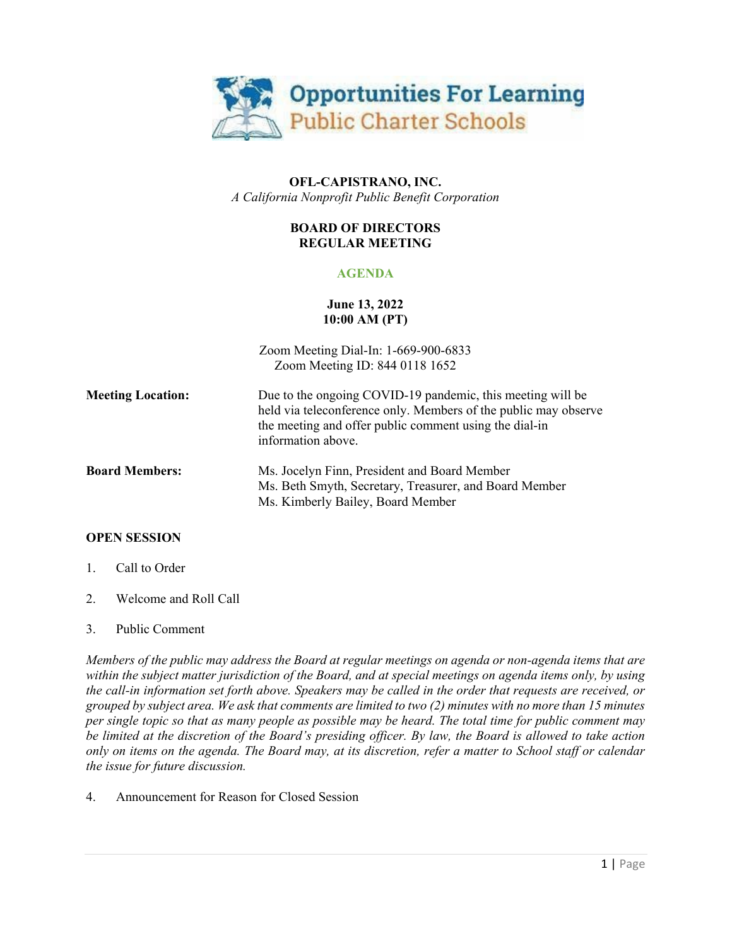

## **OFL-CAPISTRANO, INC.** *A California Nonprofit Public Benefit Corporation*

## **BOARD OF DIRECTORS REGULAR MEETING**

# **AGENDA**

## **June 13, 2022 10:00 AM (PT)**

|                          | Zoom Meeting Dial-In: 1-669-900-6833<br>Zoom Meeting ID: 844 0118 1652                                                                                                                                        |
|--------------------------|---------------------------------------------------------------------------------------------------------------------------------------------------------------------------------------------------------------|
| <b>Meeting Location:</b> | Due to the ongoing COVID-19 pandemic, this meeting will be<br>held via teleconference only. Members of the public may observe<br>the meeting and offer public comment using the dial-in<br>information above. |
| <b>Board Members:</b>    | Ms. Jocelyn Finn, President and Board Member<br>Ms. Beth Smyth, Secretary, Treasurer, and Board Member<br>Ms. Kimberly Bailey, Board Member                                                                   |

## **OPEN SESSION**

- 1. Call to Order
- 2. Welcome and Roll Call

## 3. Public Comment

*Members of the public may address the Board at regular meetings on agenda or non-agenda items that are within the subject matter jurisdiction of the Board, and at special meetings on agenda items only, by using the call-in information set forth above. Speakers may be called in the order that requests are received, or grouped by subject area. We ask that comments are limited to two (2) minutes with no more than 15 minutes per single topic so that as many people as possible may be heard. The total time for public comment may be limited at the discretion of the Board's presiding officer. By law, the Board is allowed to take action only on items on the agenda. The Board may, at its discretion, refer a matter to School staff or calendar the issue for future discussion.*

## 4. Announcement for Reason for Closed Session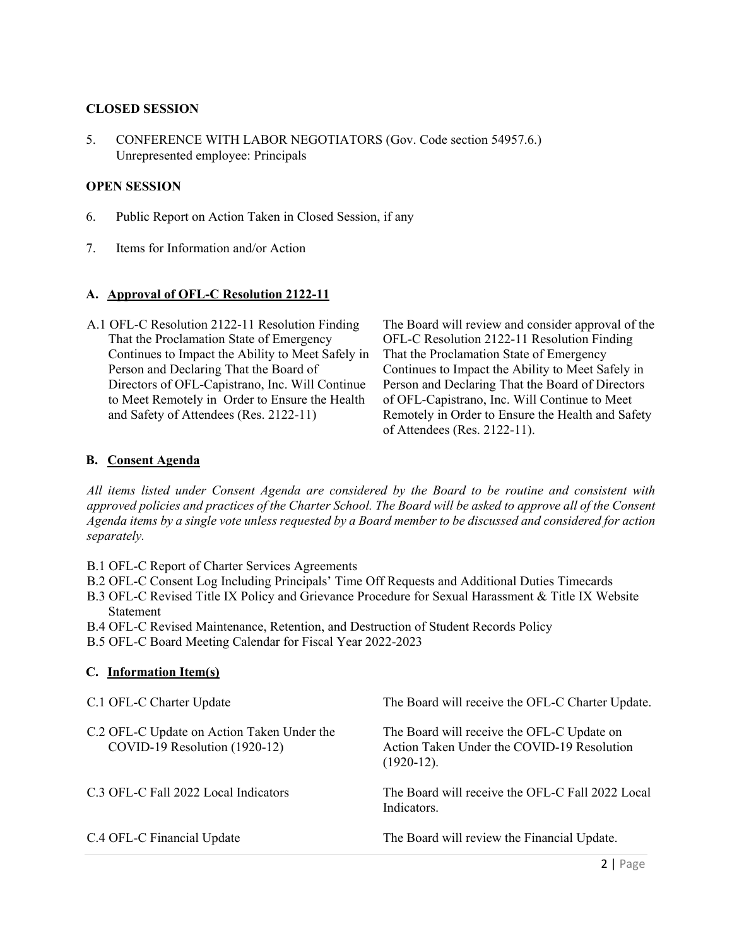### **CLOSED SESSION**

5. CONFERENCE WITH LABOR NEGOTIATORS (Gov. Code section 54957.6.) Unrepresented employee: Principals

#### **OPEN SESSION**

- 6. Public Report on Action Taken in Closed Session, if any
- 7. Items for Information and/or Action

#### **A. Approval of OFL-C Resolution 2122-11**

A.1 OFL-C Resolution 2122-11 Resolution Finding That the Proclamation State of Emergency Continues to Impact the Ability to Meet Safely in Person and Declaring That the Board of Directors of OFL-Capistrano, Inc. Will Continue to Meet Remotely in Order to Ensure the Health and Safety of Attendees (Res. 2122-11)

The Board will review and consider approval of the OFL-C Resolution 2122-11 Resolution Finding That the Proclamation State of Emergency Continues to Impact the Ability to Meet Safely in Person and Declaring That the Board of Directors of OFL-Capistrano, Inc. Will Continue to Meet Remotely in Order to Ensure the Health and Safety of Attendees (Res. 2122-11).

## **B. Consent Agenda**

*All items listed under Consent Agenda are considered by the Board to be routine and consistent with approved policies and practices of the Charter School. The Board will be asked to approve all of the Consent Agenda items by a single vote unless requested by a Board member to be discussed and considered for action separately.*

- B.1 OFL-C Report of Charter Services Agreements
- B.2 OFL-C Consent Log Including Principals' Time Off Requests and Additional Duties Timecards
- B.3 OFL-C Revised Title IX Policy and Grievance Procedure for Sexual Harassment & Title IX Website Statement
- B.4 OFL-C Revised Maintenance, Retention, and Destruction of Student Records Policy
- B.5 OFL-C Board Meeting Calendar for Fiscal Year 2022-2023

| C.1 OFL-C Charter Update                                                    | The Board will receive the OFL-C Charter Update.                                                         |
|-----------------------------------------------------------------------------|----------------------------------------------------------------------------------------------------------|
| C.2 OFL-C Update on Action Taken Under the<br>COVID-19 Resolution (1920-12) | The Board will receive the OFL-C Update on<br>Action Taken Under the COVID-19 Resolution<br>$(1920-12).$ |
| C.3 OFL-C Fall 2022 Local Indicators                                        | The Board will receive the OFL-C Fall 2022 Local<br>Indicators.                                          |
| C.4 OFL-C Financial Update                                                  | The Board will review the Financial Update.                                                              |

#### **C. Information Item(s)**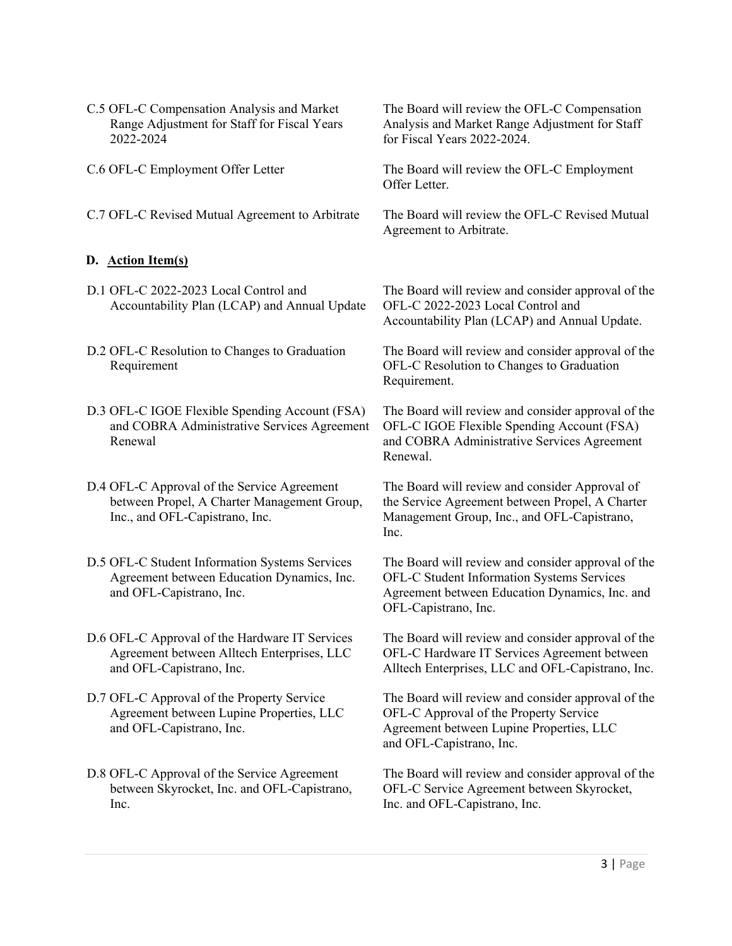- C.5 OFL-C Compensation Analysis and Market Range Adjustment for Staff for Fiscal Years 2022-2024 for Fiscal Years 2022-2024. C.6 OFL-C Employment Offer Letter The Board will review the OFL-C Employment Offer Letter.
- 

## **D. Action Item(s)**

- D.1 OFL-C 2022-2023 Local Control and Accountability Plan (LCAP) and Annual Update
- D.2 OFL-C Resolution to Changes to Graduation Requirement
- D.3 OFL-C IGOE Flexible Spending Account (FSA) and COBRA Administrative Services Agreement Renewal
- D.4 OFL-C Approval of the Service Agreement between Propel, A Charter Management Group, Inc., and OFL-Capistrano, Inc.
- D.5 OFL-C Student Information Systems Services Agreement between Education Dynamics, Inc. and OFL-Capistrano, Inc.
- D.6 OFL-C Approval of the Hardware IT Services Agreement between Alltech Enterprises, LLC and OFL-Capistrano, Inc.
- D.7 OFL-C Approval of the Property Service Agreement between Lupine Properties, LLC and OFL-Capistrano, Inc.
- D.8 OFL-C Approval of the Service Agreement between Skyrocket, Inc. and OFL-Capistrano, Inc.

The Board will review the OFL-C Compensation Analysis and Market Range Adjustment for Staff

C.7 OFL-C Revised Mutual Agreement to Arbitrate The Board will review the OFL-C Revised Mutual Agreement to Arbitrate.

> The Board will review and consider approval of the OFL-C 2022-2023 Local Control and Accountability Plan (LCAP) and Annual Update.

> The Board will review and consider approval of the OFL-C Resolution to Changes to Graduation Requirement.

> The Board will review and consider approval of the OFL-C IGOE Flexible Spending Account (FSA) and COBRA Administrative Services Agreement Renewal.

The Board will review and consider Approval of the Service Agreement between Propel, A Charter Management Group, Inc., and OFL-Capistrano, Inc.

The Board will review and consider approval of the OFL-C Student Information Systems Services Agreement between Education Dynamics, Inc. and OFL-Capistrano, Inc.

The Board will review and consider approval of the OFL-C Hardware IT Services Agreement between Alltech Enterprises, LLC and OFL-Capistrano, Inc.

The Board will review and consider approval of the OFL-C Approval of the Property Service Agreement between Lupine Properties, LLC and OFL-Capistrano, Inc.

The Board will review and consider approval of the OFL-C Service Agreement between Skyrocket, Inc. and OFL-Capistrano, Inc.